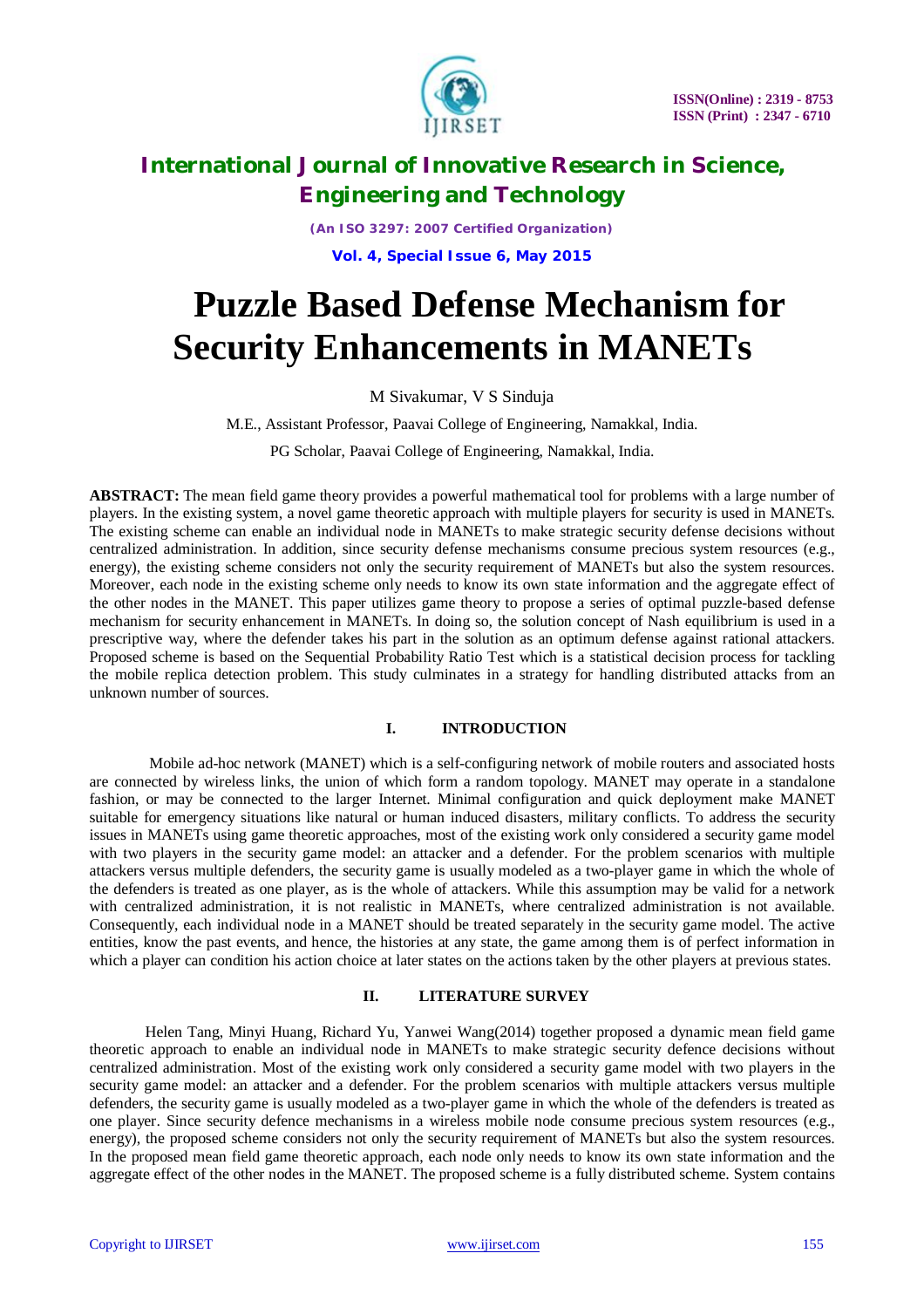

*(An ISO 3297: 2007 Certified Organization)*

**Vol. 4, Special Issue 6, May 2015**

# **Puzzle Based Defense Mechanism for Security Enhancements in MANETs**

M Sivakumar, V S Sinduja

M.E., Assistant Professor, Paavai College of Engineering, Namakkal, India.

PG Scholar, Paavai College of Engineering, Namakkal, India.

**ABSTRACT:** The mean field game theory provides a powerful mathematical tool for problems with a large number of players. In the existing system, a novel game theoretic approach with multiple players for security is used in MANETs. The existing scheme can enable an individual node in MANETs to make strategic security defense decisions without centralized administration. In addition, since security defense mechanisms consume precious system resources (e.g., energy), the existing scheme considers not only the security requirement of MANETs but also the system resources. Moreover, each node in the existing scheme only needs to know its own state information and the aggregate effect of the other nodes in the MANET. This paper utilizes game theory to propose a series of optimal puzzle-based defense mechanism for security enhancement in MANETs. In doing so, the solution concept of Nash equilibrium is used in a prescriptive way, where the defender takes his part in the solution as an optimum defense against rational attackers. Proposed scheme is based on the Sequential Probability Ratio Test which is a statistical decision process for tackling the mobile replica detection problem. This study culminates in a strategy for handling distributed attacks from an unknown number of sources.

### **I. INTRODUCTION**

Mobile ad-hoc network (MANET) which is a self-configuring network of mobile routers and associated hosts are connected by wireless links, the union of which form a random topology. MANET may operate in a standalone fashion, or may be connected to the larger Internet. Minimal configuration and quick deployment make MANET suitable for emergency situations like natural or human induced disasters, military conflicts. To address the security issues in MANETs using game theoretic approaches, most of the existing work only considered a security game model with two players in the security game model: an attacker and a defender. For the problem scenarios with multiple attackers versus multiple defenders, the security game is usually modeled as a two-player game in which the whole of the defenders is treated as one player, as is the whole of attackers. While this assumption may be valid for a network with centralized administration, it is not realistic in MANETs, where centralized administration is not available. Consequently, each individual node in a MANET should be treated separately in the security game model. The active entities, know the past events, and hence, the histories at any state, the game among them is of perfect information in which a player can condition his action choice at later states on the actions taken by the other players at previous states.

### **II. LITERATURE SURVEY**

Helen Tang, Minyi Huang, Richard Yu, Yanwei Wang(2014) together proposed a dynamic mean field game theoretic approach to enable an individual node in MANETs to make strategic security defence decisions without centralized administration. Most of the existing work only considered a security game model with two players in the security game model: an attacker and a defender. For the problem scenarios with multiple attackers versus multiple defenders, the security game is usually modeled as a two-player game in which the whole of the defenders is treated as one player. Since security defence mechanisms in a wireless mobile node consume precious system resources (e.g., energy), the proposed scheme considers not only the security requirement of MANETs but also the system resources. In the proposed mean field game theoretic approach, each node only needs to know its own state information and the aggregate effect of the other nodes in the MANET. The proposed scheme is a fully distributed scheme. System contains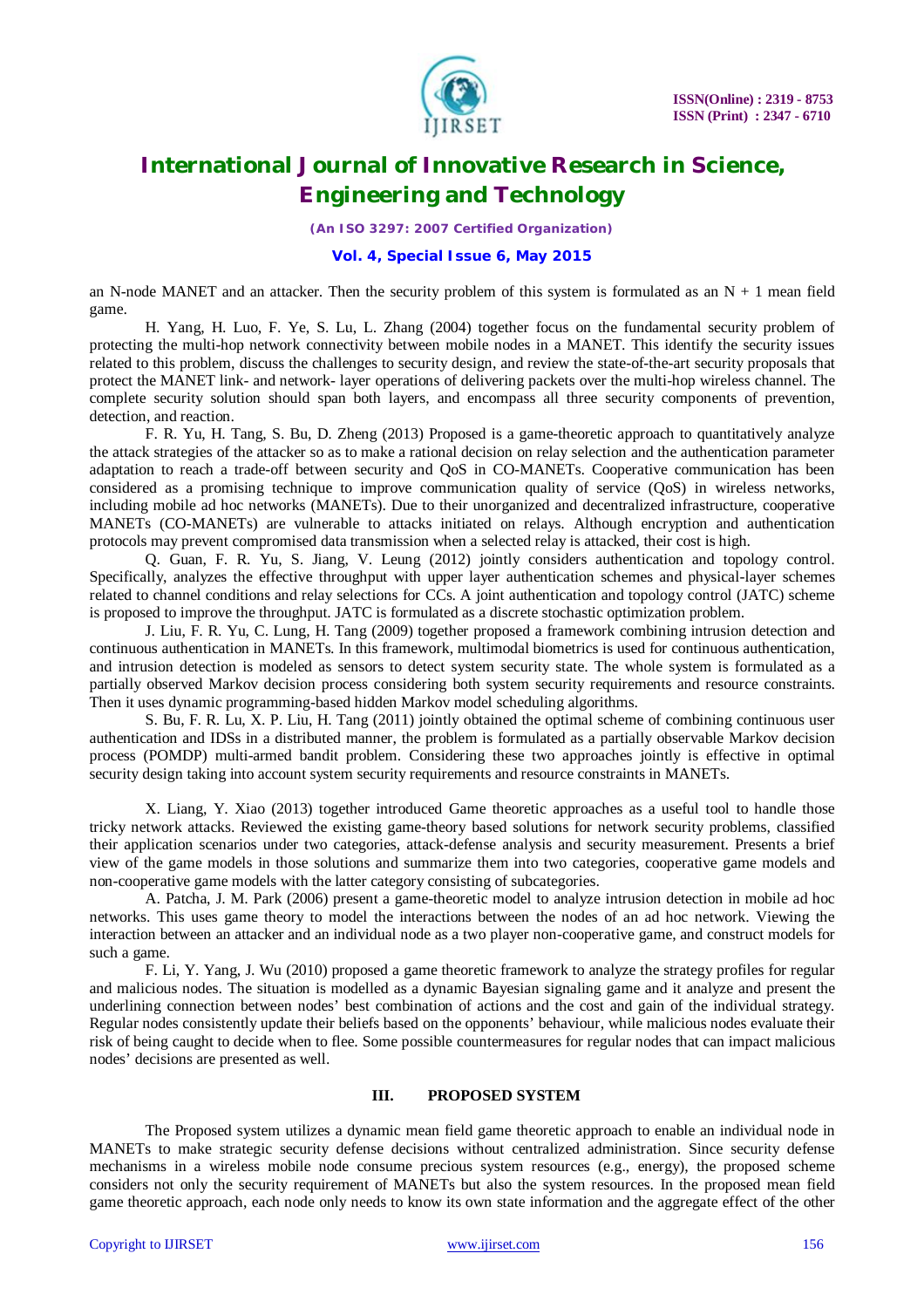

*(An ISO 3297: 2007 Certified Organization)*

### **Vol. 4, Special Issue 6, May 2015**

an N-node MANET and an attacker. Then the security problem of this system is formulated as an  $N + 1$  mean field game.

H. Yang, H. Luo, F. Ye, S. Lu, L. Zhang (2004) together focus on the fundamental security problem of protecting the multi-hop network connectivity between mobile nodes in a MANET. This identify the security issues related to this problem, discuss the challenges to security design, and review the state-of-the-art security proposals that protect the MANET link- and network- layer operations of delivering packets over the multi-hop wireless channel. The complete security solution should span both layers, and encompass all three security components of prevention, detection, and reaction.

F. R. Yu, H. Tang, S. Bu, D. Zheng (2013) Proposed is a game-theoretic approach to quantitatively analyze the attack strategies of the attacker so as to make a rational decision on relay selection and the authentication parameter adaptation to reach a trade-off between security and QoS in CO-MANETs. Cooperative communication has been considered as a promising technique to improve communication quality of service (QoS) in wireless networks, including mobile ad hoc networks (MANETs). Due to their unorganized and decentralized infrastructure, cooperative MANETs (CO-MANETs) are vulnerable to attacks initiated on relays. Although encryption and authentication protocols may prevent compromised data transmission when a selected relay is attacked, their cost is high.

Q. Guan, F. R. Yu, S. Jiang, V. Leung (2012) jointly considers authentication and topology control. Specifically, analyzes the effective throughput with upper layer authentication schemes and physical-layer schemes related to channel conditions and relay selections for CCs. A joint authentication and topology control (JATC) scheme is proposed to improve the throughput. JATC is formulated as a discrete stochastic optimization problem.

J. Liu, F. R. Yu, C. Lung, H. Tang (2009) together proposed a framework combining intrusion detection and continuous authentication in MANETs. In this framework, multimodal biometrics is used for continuous authentication, and intrusion detection is modeled as sensors to detect system security state. The whole system is formulated as a partially observed Markov decision process considering both system security requirements and resource constraints. Then it uses dynamic programming-based hidden Markov model scheduling algorithms.

S. Bu, F. R. Lu, X. P. Liu, H. Tang (2011) jointly obtained the optimal scheme of combining continuous user authentication and IDSs in a distributed manner, the problem is formulated as a partially observable Markov decision process (POMDP) multi-armed bandit problem. Considering these two approaches jointly is effective in optimal security design taking into account system security requirements and resource constraints in MANETs.

X. Liang, Y. Xiao (2013) together introduced Game theoretic approaches as a useful tool to handle those tricky network attacks. Reviewed the existing game-theory based solutions for network security problems, classified their application scenarios under two categories, attack-defense analysis and security measurement. Presents a brief view of the game models in those solutions and summarize them into two categories, cooperative game models and non-cooperative game models with the latter category consisting of subcategories.

A. Patcha, J. M. Park (2006) present a game-theoretic model to analyze intrusion detection in mobile ad hoc networks. This uses game theory to model the interactions between the nodes of an ad hoc network. Viewing the interaction between an attacker and an individual node as a two player non-cooperative game, and construct models for such a game.

F. Li, Y. Yang, J. Wu (2010) proposed a game theoretic framework to analyze the strategy profiles for regular and malicious nodes. The situation is modelled as a dynamic Bayesian signaling game and it analyze and present the underlining connection between nodes' best combination of actions and the cost and gain of the individual strategy. Regular nodes consistently update their beliefs based on the opponents' behaviour, while malicious nodes evaluate their risk of being caught to decide when to flee. Some possible countermeasures for regular nodes that can impact malicious nodes' decisions are presented as well.

### **III. PROPOSED SYSTEM**

The Proposed system utilizes a dynamic mean field game theoretic approach to enable an individual node in MANETs to make strategic security defense decisions without centralized administration. Since security defense mechanisms in a wireless mobile node consume precious system resources (e.g., energy), the proposed scheme considers not only the security requirement of MANETs but also the system resources. In the proposed mean field game theoretic approach, each node only needs to know its own state information and the aggregate effect of the other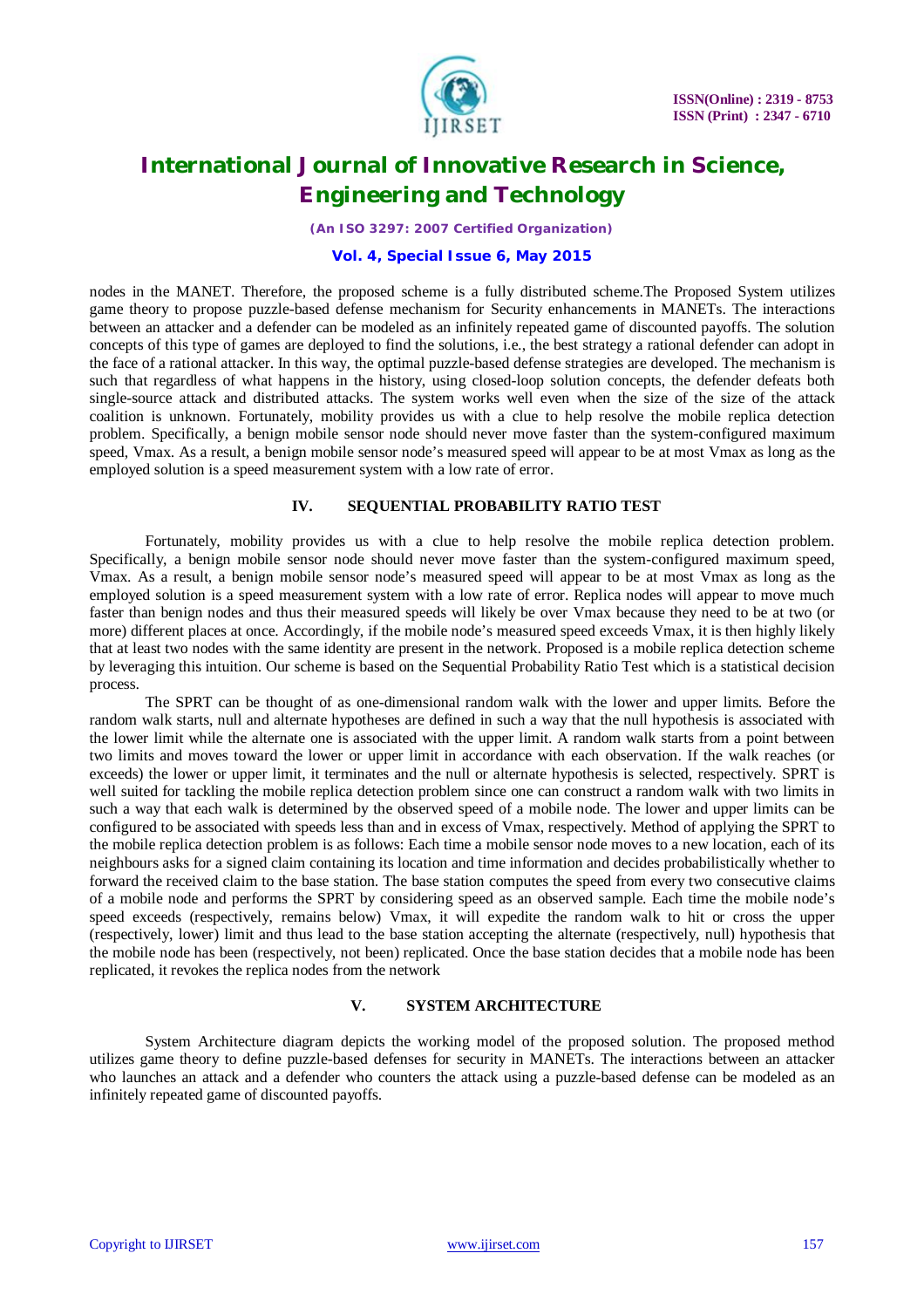

*(An ISO 3297: 2007 Certified Organization)*

#### **Vol. 4, Special Issue 6, May 2015**

nodes in the MANET. Therefore, the proposed scheme is a fully distributed scheme.The Proposed System utilizes game theory to propose puzzle-based defense mechanism for Security enhancements in MANETs. The interactions between an attacker and a defender can be modeled as an infinitely repeated game of discounted payoffs. The solution concepts of this type of games are deployed to find the solutions, i.e., the best strategy a rational defender can adopt in the face of a rational attacker. In this way, the optimal puzzle-based defense strategies are developed. The mechanism is such that regardless of what happens in the history, using closed-loop solution concepts, the defender defeats both single-source attack and distributed attacks. The system works well even when the size of the size of the attack coalition is unknown. Fortunately, mobility provides us with a clue to help resolve the mobile replica detection problem. Specifically, a benign mobile sensor node should never move faster than the system-configured maximum speed, Vmax. As a result, a benign mobile sensor node's measured speed will appear to be at most Vmax as long as the employed solution is a speed measurement system with a low rate of error.

#### **IV. SEQUENTIAL PROBABILITY RATIO TEST**

Fortunately, mobility provides us with a clue to help resolve the mobile replica detection problem. Specifically, a benign mobile sensor node should never move faster than the system-configured maximum speed, Vmax. As a result, a benign mobile sensor node's measured speed will appear to be at most Vmax as long as the employed solution is a speed measurement system with a low rate of error. Replica nodes will appear to move much faster than benign nodes and thus their measured speeds will likely be over Vmax because they need to be at two (or more) different places at once. Accordingly, if the mobile node's measured speed exceeds Vmax, it is then highly likely that at least two nodes with the same identity are present in the network. Proposed is a mobile replica detection scheme by leveraging this intuition. Our scheme is based on the Sequential Probability Ratio Test which is a statistical decision process.

The SPRT can be thought of as one-dimensional random walk with the lower and upper limits. Before the random walk starts, null and alternate hypotheses are defined in such a way that the null hypothesis is associated with the lower limit while the alternate one is associated with the upper limit. A random walk starts from a point between two limits and moves toward the lower or upper limit in accordance with each observation. If the walk reaches (or exceeds) the lower or upper limit, it terminates and the null or alternate hypothesis is selected, respectively. SPRT is well suited for tackling the mobile replica detection problem since one can construct a random walk with two limits in such a way that each walk is determined by the observed speed of a mobile node. The lower and upper limits can be configured to be associated with speeds less than and in excess of Vmax, respectively. Method of applying the SPRT to the mobile replica detection problem is as follows: Each time a mobile sensor node moves to a new location, each of its neighbours asks for a signed claim containing its location and time information and decides probabilistically whether to forward the received claim to the base station. The base station computes the speed from every two consecutive claims of a mobile node and performs the SPRT by considering speed as an observed sample. Each time the mobile node's speed exceeds (respectively, remains below) Vmax, it will expedite the random walk to hit or cross the upper (respectively, lower) limit and thus lead to the base station accepting the alternate (respectively, null) hypothesis that the mobile node has been (respectively, not been) replicated. Once the base station decides that a mobile node has been replicated, it revokes the replica nodes from the network

#### **V. SYSTEM ARCHITECTURE**

System Architecture diagram depicts the working model of the proposed solution. The proposed method utilizes game theory to define puzzle-based defenses for security in MANETs. The interactions between an attacker who launches an attack and a defender who counters the attack using a puzzle-based defense can be modeled as an infinitely repeated game of discounted payoffs.